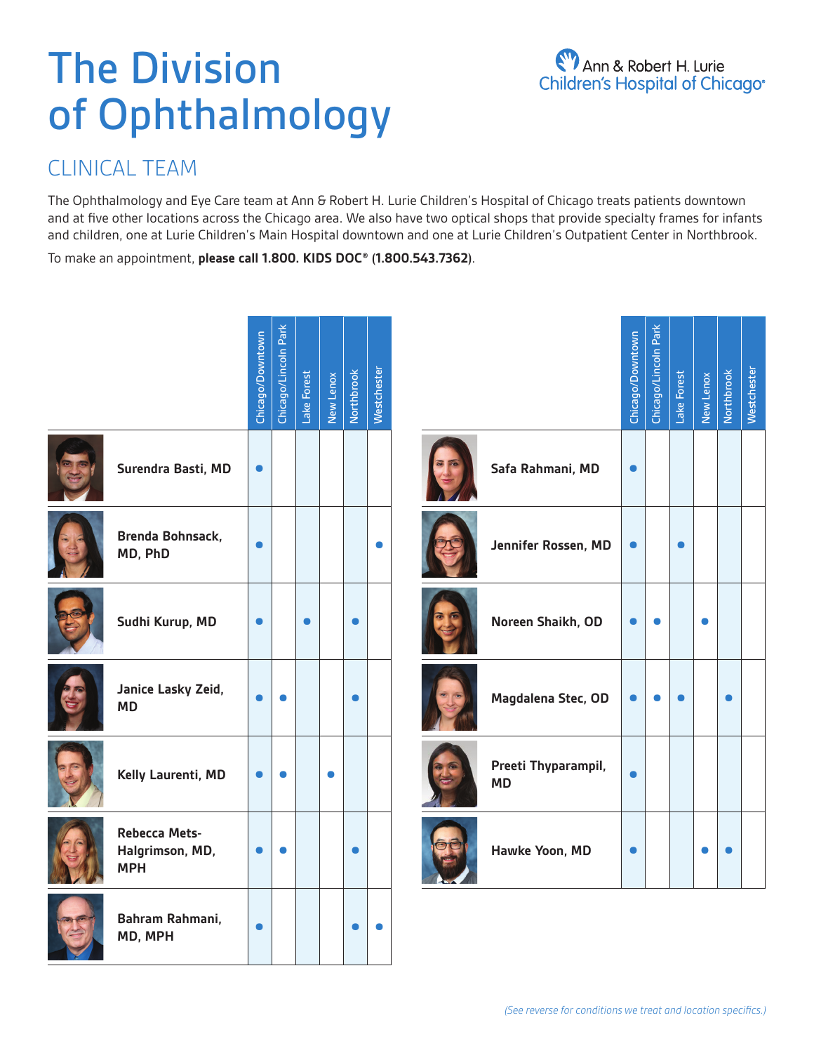# The Division of Ophthalmology

## CLINICAL TEAM

The Ophthalmology and Eye Care team at Ann & Robert H. Lurie Children's Hospital of Chicago treats patients downtown and at five other locations across the Chicago area. We also have two optical shops that provide specialty frames for infants and children, one at Lurie Children's Main Hospital downtown and one at Lurie Children's Outpatient Center in Northbrook.

To make an appointment, **please call 1.800. KIDS DOC® (1.800.543.7362)**.

|                                                       | Chicago/Downtown | Chicago/Lincoln Park | Lake Forest | New Lenox | <b>Northbrook</b> | Westchester |                                  | Chicago/Downtown | Chicago/Lincoln Park | Lake Forest | New Lenox | Northbrook | Westchester |
|-------------------------------------------------------|------------------|----------------------|-------------|-----------|-------------------|-------------|----------------------------------|------------------|----------------------|-------------|-----------|------------|-------------|
| Surendra Basti, MD                                    | $\bullet$        |                      |             |           |                   |             | Safa Rahmani, MD                 | $\bullet$        |                      |             |           |            |             |
| <b>Brenda Bohnsack,</b><br>MD, PhD                    | $\bullet$        |                      |             |           |                   | $\bullet$   | Jennifer Rossen, MD              | $\bullet$        |                      | $\bullet$   |           |            |             |
| Sudhi Kurup, MD                                       | $\bullet$        |                      | $\bullet$   |           | $\bullet$         |             | Noreen Shaikh, OD                | œ                |                      |             | $\bullet$ |            |             |
| Janice Lasky Zeid,<br><b>MD</b>                       |                  |                      |             |           | $\bullet$         |             | Magdalena Stec, OD               |                  |                      |             |           |            |             |
| Kelly Laurenti, MD                                    | $\bullet$        | ●                    |             | $\bullet$ |                   |             | Preeti Thyparampil,<br><b>MD</b> |                  |                      |             |           |            |             |
| <b>Rebecca Mets-</b><br>Halgrimson, MD,<br><b>MPH</b> | $\bullet$        | $\bullet$            |             |           | $\bullet$         |             | Hawke Yoon, MD                   | $\bullet$        |                      |             |           |            |             |
| Bahram Rahmani,<br>MD, MPH                            | $\bullet$        |                      |             |           | $\bullet$         |             |                                  |                  |                      |             |           |            |             |